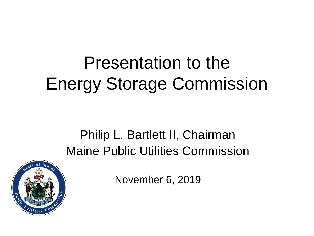## Presentation to the Energy Storage Commission

#### Philip L. Bartlett II, Chairman Maine Public Utilities Commission



November 6, 2019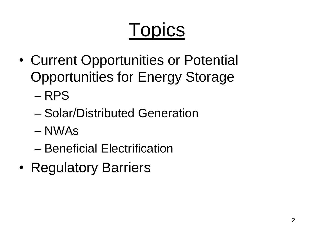# **Topics**

- Current Opportunities or Potential Opportunities for Energy Storage
	- RPS
	- Solar/Distributed Generation
	- NWAs
	- Beneficial Electrification
- Regulatory Barriers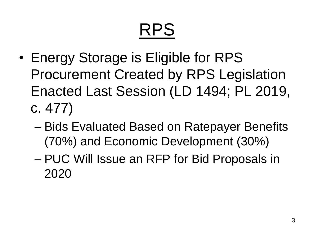## RPS

- Energy Storage is Eligible for RPS Procurement Created by RPS Legislation Enacted Last Session (LD 1494; PL 2019, c. 477)
	- Bids Evaluated Based on Ratepayer Benefits (70%) and Economic Development (30%)
	- PUC Will Issue an RFP for Bid Proposals in 2020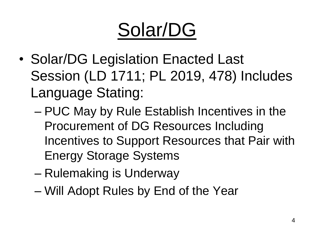## Solar/DG

- Solar/DG Legislation Enacted Last Session (LD 1711; PL 2019, 478) Includes Language Stating:
	- PUC May by Rule Establish Incentives in the Procurement of DG Resources Including Incentives to Support Resources that Pair with Energy Storage Systems
	- Rulemaking is Underway
	- Will Adopt Rules by End of the Year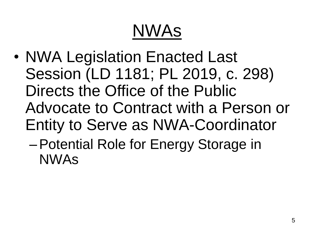## NWAs

- NWA Legislation Enacted Last Session (LD 1181; PL 2019, c. 298) Directs the Office of the Public Advocate to Contract with a Person or Entity to Serve as NWA-Coordinator
	- –Potential Role for Energy Storage in NWAs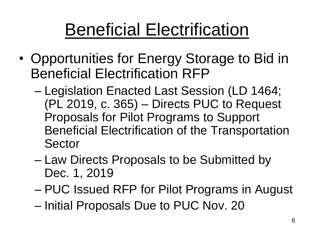### Beneficial Electrification

- Opportunities for Energy Storage to Bid in Beneficial Electrification RFP
	- Legislation Enacted Last Session (LD 1464; (PL 2019, c. 365) – Directs PUC to Request Proposals for Pilot Programs to Support Beneficial Electrification of the Transportation Sector
	- Law Directs Proposals to be Submitted by Dec. 1, 2019
	- PUC Issued RFP for Pilot Programs in August
	- Initial Proposals Due to PUC Nov. 20